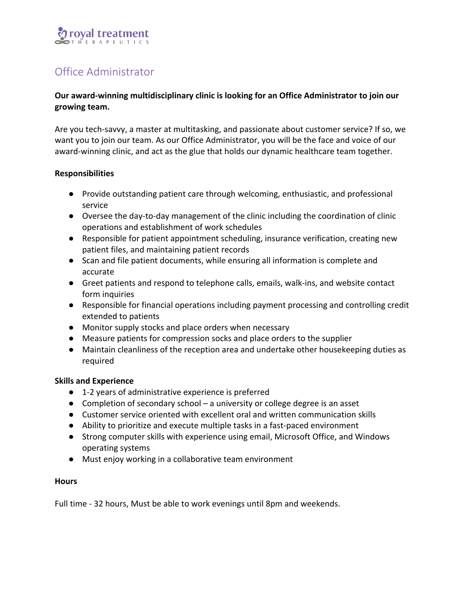# royal treatment

# Office Administrator

## Our award-winning multidisciplinary clinic is looking for an Office Administrator to join our growing team.

Are you tech-savvy, a master at multitasking, and passionate about customer service? If so, we want you to join our team. As our Office Administrator, you will be the face and voice of our award-winning clinic, and act as the glue that holds our dynamic healthcare team together.

### **Responsibilities**

- Provide outstanding patient care through welcoming, enthusiastic, and professional service
- Oversee the day-to-day management of the clinic including the coordination of clinic operations and establishment of work schedules
- Responsible for patient appointment scheduling, insurance verification, creating new patient files, and maintaining patient records
- Scan and file patient documents, while ensuring all information is complete and accurate
- Greet patients and respond to telephone calls, emails, walk-ins, and website contact form inquiries
- Responsible for financial operations including payment processing and controlling credit extended to patients
- Monitor supply stocks and place orders when necessary
- Measure patients for compression socks and place orders to the supplier
- Maintain cleanliness of the reception area and undertake other housekeeping duties as required

### **Skills and Experience**

- 1-2 years of administrative experience is preferred
- Completion of secondary school a university or college degree is an asset
- Customer service oriented with excellent oral and written communication skills
- Ability to prioritize and execute multiple tasks in a fast-paced environment
- Strong computer skills with experience using email, Microsoft Office, and Windows operating systems
- Must enjoy working in a collaborative team environment

### **Hours**

Full time - 32 hours, Must be able to work evenings until 8pm and weekends.